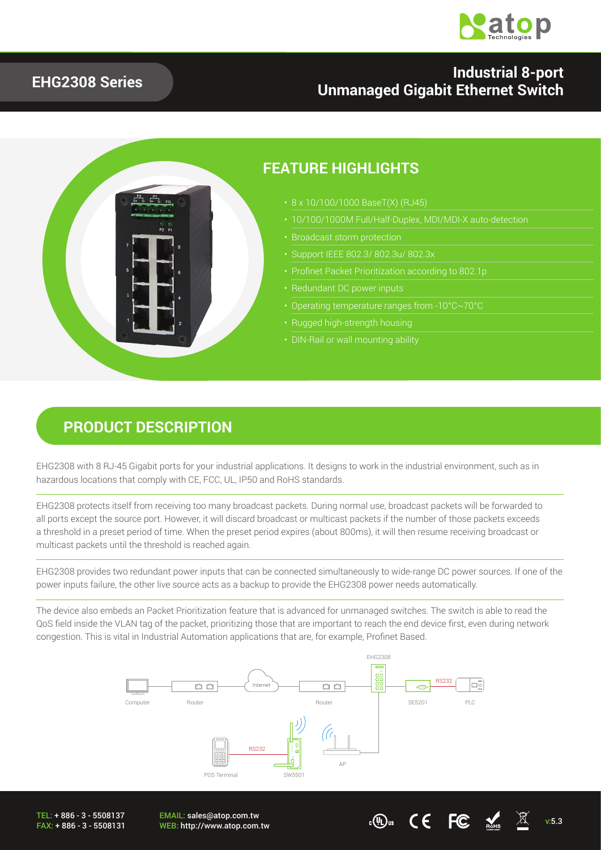

#### **EHG2308 Series**

#### **Industrial 8-port Unmanaged Gigabit Ethernet Switch**



### **PRODUCT DESCRIPTION**

EHG2308 with 8 RJ-45 Gigabit ports for your industrial applications. It designs to work in the industrial environment, such as in hazardous locations that comply with CE, FCC, UL, IP50 and RoHS standards.

EHG2308 protects itself from receiving too many broadcast packets. During normal use, broadcast packets will be forwarded to all ports except the source port. However, it will discard broadcast or multicast packets if the number of those packets exceeds a threshold in a preset period of time. When the preset period expires (about 800ms), it will then resume receiving broadcast or multicast packets until the threshold is reached again.

EHG2308 provides two redundant power inputs that can be connected simultaneously to wide-range DC power sources. If one of the power inputs failure, the other live source acts as a backup to provide the EHG2308 power needs automatically.

The device also embeds an Packet Prioritization feature that is advanced for unmanaged switches. The switch is able to read the QoS field inside the VLAN tag of the packet, prioritizing those that are important to reach the end device first, even during network congestion. This is vital in Industrial Automation applications that are, for example, Profinet Based.



TEL: + 886 - 3 - 5508137 FAX: + 886 - 3 - 5508131 EMAIL: sales@atop.com.tw

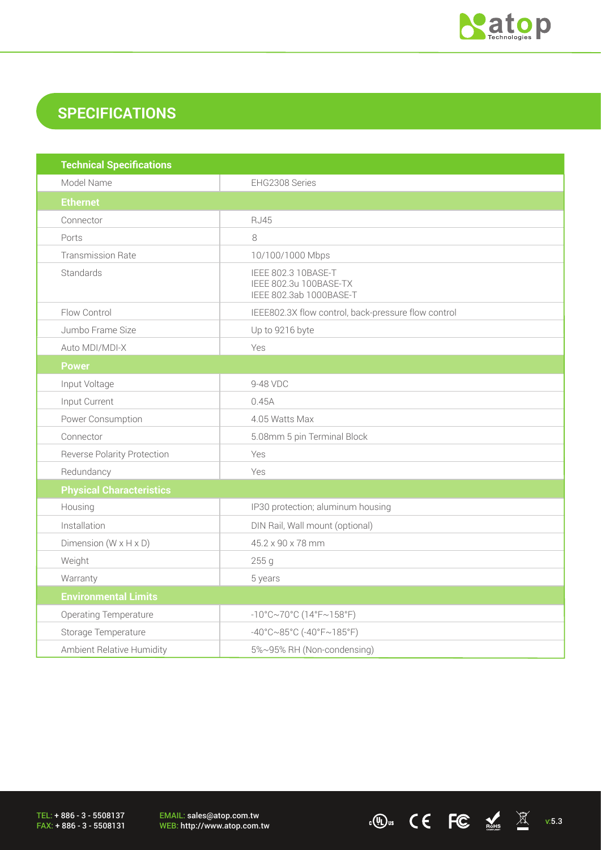

## **SPECIFICATIONS**

| <b>Technical Specifications</b>    |                                                                          |  |  |
|------------------------------------|--------------------------------------------------------------------------|--|--|
| Model Name                         | EHG2308 Series                                                           |  |  |
| <b>Ethernet</b>                    |                                                                          |  |  |
| Connector                          | <b>RJ45</b>                                                              |  |  |
| Ports                              | 8                                                                        |  |  |
| <b>Transmission Rate</b>           | 10/100/1000 Mbps                                                         |  |  |
| Standards                          | IEEE 802.3 10BASE-T<br>IEEE 802.3u 100BASE-TX<br>IEEE 802.3ab 1000BASE-T |  |  |
| Flow Control                       | IEEE802.3X flow control, back-pressure flow control                      |  |  |
| Jumbo Frame Size                   | Up to 9216 byte                                                          |  |  |
| Auto MDI/MDI-X                     | Yes                                                                      |  |  |
| <b>Power</b>                       |                                                                          |  |  |
| Input Voltage                      | 9-48 VDC                                                                 |  |  |
| Input Current                      | 0.45A                                                                    |  |  |
| Power Consumption                  | 4.05 Watts Max                                                           |  |  |
| Connector                          | 5.08mm 5 pin Terminal Block                                              |  |  |
| <b>Reverse Polarity Protection</b> | Yes                                                                      |  |  |
| Redundancy                         | Yes                                                                      |  |  |
| <b>Physical Characteristics</b>    |                                                                          |  |  |
| Housing                            | IP30 protection; aluminum housing                                        |  |  |
| Installation                       | DIN Rail, Wall mount (optional)                                          |  |  |
| Dimension $(W \times H \times D)$  | 45.2 x 90 x 78 mm                                                        |  |  |
| Weight                             | 255 g                                                                    |  |  |
| Warranty                           | 5 years                                                                  |  |  |
| <b>Environmental Limits</b>        |                                                                          |  |  |
| Operating Temperature              | $-10^{\circ}$ C~70°C (14°F~158°F)                                        |  |  |
| Storage Temperature                | $-40^{\circ}$ C $\sim$ 85°C (-40°F $\sim$ 185°F)                         |  |  |
| Ambient Relative Humidity          | 5%~95% RH (Non-condensing)                                               |  |  |

TEL: + 886 - 3 - 5508137 FAX: + 886 - 3 - 5508131 EMAIL: sales@atop.com.tw<br>WEB: http://www.atop.com.tw

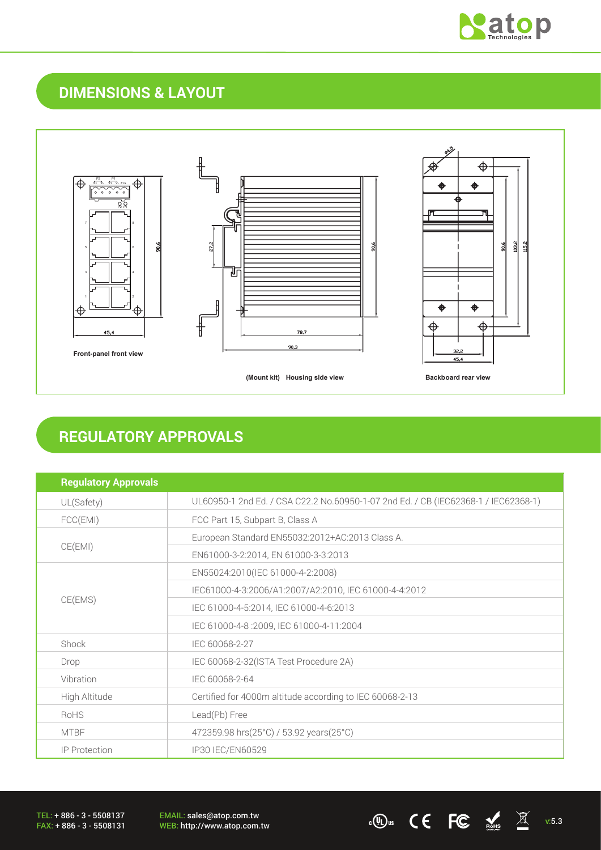

## **DIMENSIONS & LAYOUT**



### **REGULATORY APPROVALS**

| <b>Regulatory Approvals</b> |                                                                                    |  |  |
|-----------------------------|------------------------------------------------------------------------------------|--|--|
| UL(Safety)                  | UL60950-1 2nd Ed. / CSA C22.2 No.60950-1-07 2nd Ed. / CB (IEC62368-1 / IEC62368-1) |  |  |
| FCC(EMI)                    | FCC Part 15, Subpart B, Class A                                                    |  |  |
| CE(EMI)                     | European Standard EN55032:2012+AC:2013 Class A.                                    |  |  |
|                             | EN61000-3-2:2014, EN 61000-3-3:2013                                                |  |  |
| CE(EMS)                     | EN55024:2010(IEC 61000-4-2:2008)                                                   |  |  |
|                             | IEC61000-4-3:2006/A1:2007/A2:2010, IEC 61000-4-4:2012                              |  |  |
|                             | IEC 61000-4-5:2014, IEC 61000-4-6:2013                                             |  |  |
|                             | IEC 61000-4-8 :2009, IEC 61000-4-11:2004                                           |  |  |
| Shock                       | IEC 60068-2-27                                                                     |  |  |
| Drop                        | IEC 60068-2-32(ISTA Test Procedure 2A)                                             |  |  |
| Vibration                   | IEC 60068-2-64                                                                     |  |  |
| High Altitude               | Certified for 4000m altitude according to IEC 60068-2-13                           |  |  |
| RoHS                        | Lead(Pb) Free                                                                      |  |  |
| <b>MTBF</b>                 | 472359.98 hrs(25°C) / 53.92 years(25°C)                                            |  |  |
| <b>IP Protection</b>        | IP30 IEC/EN60529                                                                   |  |  |

EMAIL: sales@atop.com.tw EMAIL: sales@atop.com.tw<br>WEB: http://www.atop.com.tw **v:5.3** v:5.3